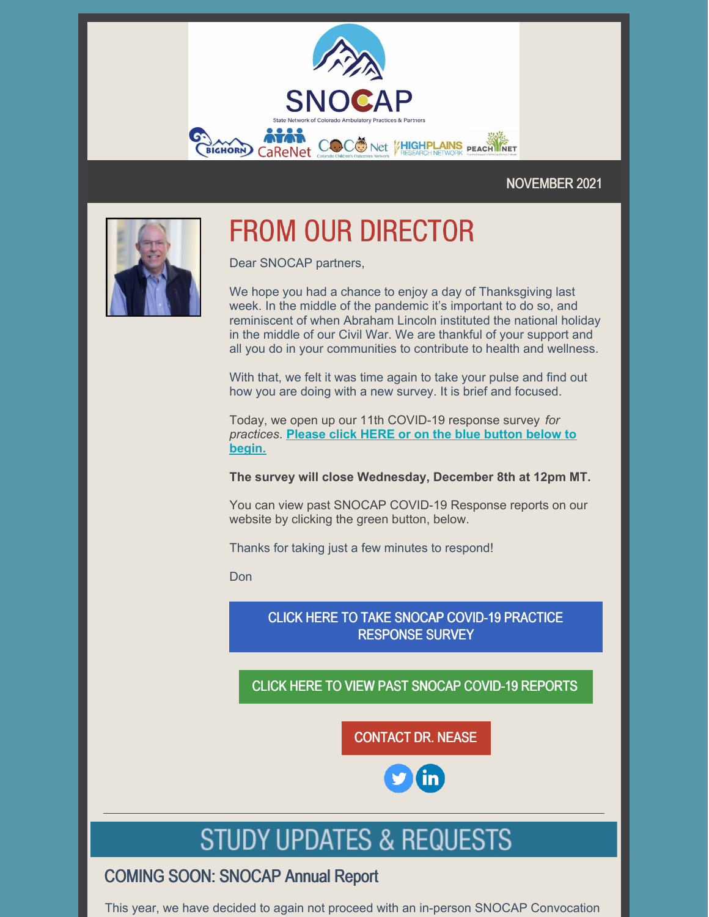

### NOVEMBER 2021



# **FROM OUR DIRECTOR**

Dear SNOCAP partners,

We hope you had a chance to enjoy a day of Thanksgiving last week. In the middle of the pandemic it's important to do so, and reminiscent of when Abraham Lincoln instituted the national holiday in the middle of our Civil War. We are thankful of your support and all you do in your communities to contribute to health and wellness.

With that, we felt it was time again to take your pulse and find out how you are doing with a new survey. It is brief and focused.

Today, we open up our 11th COVID-19 response survey *for [practices](https://ucdenver.co1.qualtrics.com/jfe/form/SV_0MTnCZWHS861j1Q)*. **Please click HERE or on the blue button below to begin.**

**The survey will close Wednesday, December 8th at 12pm MT.**

You can view past SNOCAP COVID-19 Response reports on our website by clicking the green button, below.

Thanks for taking just a few minutes to respond!

Don

CLICK HERE TO TAKE SNOCAP COVID-19 PRACTICE [RESPONSE](https://ucdenver.co1.qualtrics.com/jfe/form/SV_0MTnCZWHS861j1Q) SURVEY

## CLICK HERE TO VIEW PAST SNOCAP COVID-19 [REPORTS](https://medschool.cuanschutz.edu/family-medicine/community/practice-based-research-networks/covid-work-and-resources)

[CONTACT](mailto:donald.nease@cuanschutz.edu) DR. NEASE

# **STUDY UPDATES & REQUESTS**

## COMING SOON: SNOCAP Annual Report

This year, we have decided to again not proceed with an in-person SNOCAP Convocation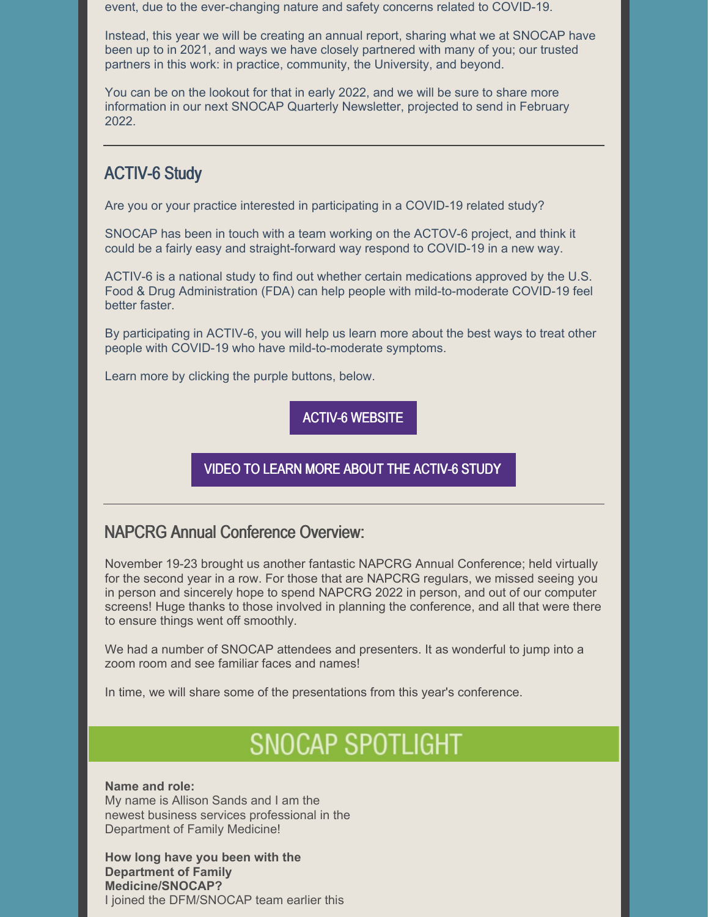event, due to the ever-changing nature and safety concerns related to COVID-19.

Instead, this year we will be creating an annual report, sharing what we at SNOCAP have been up to in 2021, and ways we have closely partnered with many of you; our trusted partners in this work: in practice, community, the University, and beyond.

You can be on the lookout for that in early 2022, and we will be sure to share more information in our next SNOCAP Quarterly Newsletter, projected to send in February 2022.

## ACTIV-6 Study

Are you or your practice interested in participating in a COVID-19 related study?

SNOCAP has been in touch with a team working on the ACTOV-6 project, and think it could be a fairly easy and straight-forward way respond to COVID-19 in a new way.

ACTIV-6 is a national study to find out whether certain medications approved by the U.S. Food & Drug Administration (FDA) can help people with mild-to-moderate COVID-19 feel better faster.

By participating in ACTIV-6, you will help us learn more about the best ways to treat other people with COVID-19 who have mild-to-moderate symptoms.

Learn more by clicking the purple buttons, below.

ACTIV-6 [WEBSITE](https://activ6study.org/)

VIDEO TO LEARN MORE ABOUT THE [ACTIV-6](https://youtu.be/Mn2QmGgAmrs) STUDY

### NAPCRG Annual Conference Overview:

November 19-23 brought us another fantastic NAPCRG Annual Conference; held virtually for the second year in a row. For those that are NAPCRG regulars, we missed seeing you in person and sincerely hope to spend NAPCRG 2022 in person, and out of our computer screens! Huge thanks to those involved in planning the conference, and all that were there to ensure things went off smoothly.

We had a number of SNOCAP attendees and presenters. It as wonderful to jump into a zoom room and see familiar faces and names!

In time, we will share some of the presentations from this year's conference.

## **SNOCAP SPOTLIGHT**

#### **Name and role:**

My name is Allison Sands and I am the newest business services professional in the Department of Family Medicine!

**How long have you been with the Department of Family Medicine/SNOCAP?** I joined the DFM/SNOCAP team earlier this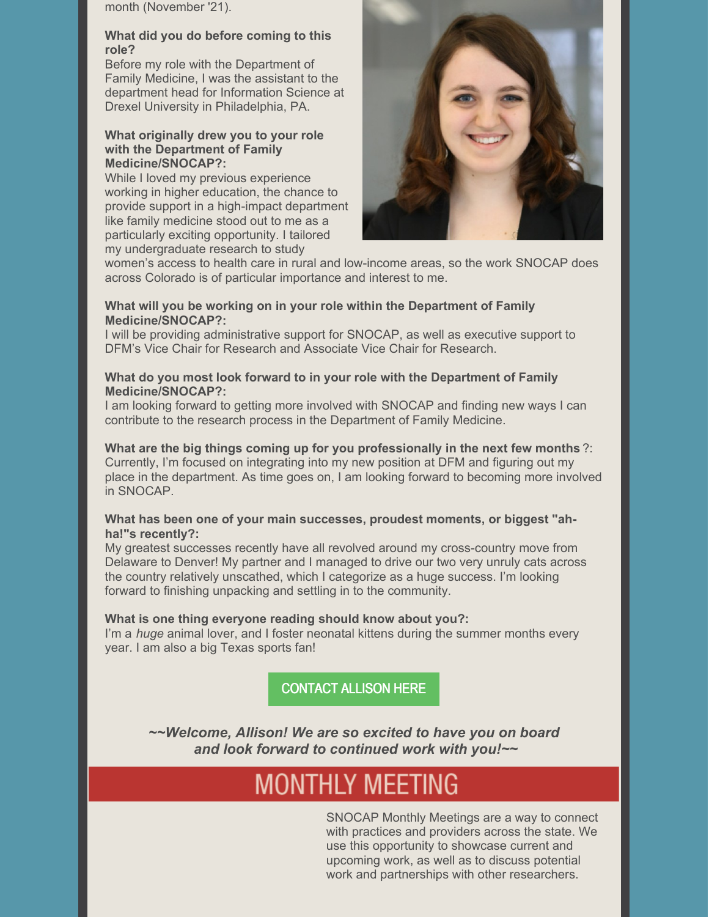month (November '21).

#### **What did you do before coming to this role?**

Before my role with the Department of Family Medicine, I was the assistant to the department head for Information Science at Drexel University in Philadelphia, PA.

#### **What originally drew you to your role with the Department of Family Medicine/SNOCAP?:**

While I loved my previous experience working in higher education, the chance to provide support in a high-impact department like family medicine stood out to me as a particularly exciting opportunity. I tailored my undergraduate research to study



women's access to health care in rural and low-income areas, so the work SNOCAP does across Colorado is of particular importance and interest to me.

#### **What will you be working on in your role within the Department of Family Medicine/SNOCAP?:**

I will be providing administrative support for SNOCAP, as well as executive support to DFM's Vice Chair for Research and Associate Vice Chair for Research.

#### **What do you most look forward to in your role with the Department of Family Medicine/SNOCAP?:**

I am looking forward to getting more involved with SNOCAP and finding new ways I can contribute to the research process in the Department of Family Medicine.

#### **What are the big things coming up for you professionally in the next few months** ?: Currently, I'm focused on integrating into my new position at DFM and figuring out my place in the department. As time goes on, I am looking forward to becoming more involved in SNOCAP.

#### **What has been one of your main successes, proudest moments, or biggest "ahha!"s recently?:**

My greatest successes recently have all revolved around my cross-country move from Delaware to Denver! My partner and I managed to drive our two very unruly cats across the country relatively unscathed, which I categorize as a huge success. I'm looking forward to finishing unpacking and settling in to the community.

#### **What is one thing everyone reading should know about you?:**

I'm a *huge* animal lover, and I foster neonatal kittens during the summer months every year. I am also a big Texas sports fan!

[CONTACT](mailto:ALLISON.R.SANDS@CUANSCHUTZ.EDU) ALLISON HERE

*~~Welcome, Allison! We are so excited to have you on board and look forward to continued work with you!~~*

## **MONTHLY MEETING**

SNOCAP Monthly Meetings are a way to connect with practices and providers across the state. We use this opportunity to showcase current and upcoming work, as well as to discuss potential work and partnerships with other researchers.